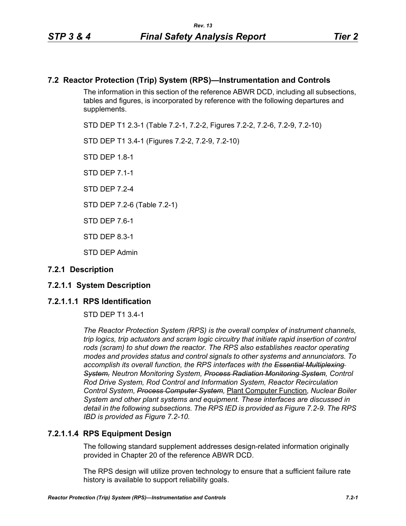# **7.2 Reactor Protection (Trip) System (RPS)—Instrumentation and Controls**

The information in this section of the reference ABWR DCD, including all subsections, tables and figures, is incorporated by reference with the following departures and supplements.

STD DEP T1 2.3-1 (Table 7.2-1, 7.2-2, Figures 7.2-2, 7.2-6, 7.2-9, 7.2-10)

STD DEP T1 3.4-1 (Figures 7.2-2, 7.2-9, 7.2-10)

STD DFP 18-1

STD DEP 7.1-1

STD DFP 7 2-4

STD DEP 7.2-6 (Table 7.2-1)

STD DEP 7.6-1

STD DEP 8.3-1

STD DEP Admin

# **7.2.1 Description**

# **7.2.1.1 System Description**

# **7.2.1.1.1 RPS Identification**

STD DEP T1 3.4-1

*The Reactor Protection System (RPS) is the overall complex of instrument channels, trip logics, trip actuators and scram logic circuitry that initiate rapid insertion of control rods (scram) to shut down the reactor. The RPS also establishes reactor operating modes and provides status and control signals to other systems and annunciators. To accomplish its overall function, the RPS interfaces with the Essential Multiplexing System, Neutron Monitoring System, Process Radiation Monitoring System, Control Rod Drive System, Rod Control and Information System, Reactor Recirculation Control System, Process Computer System,* Plant Computer Function*, Nuclear Boiler System and other plant systems and equipment. These interfaces are discussed in detail in the following subsections. The RPS IED is provided as Figure 7.2-9. The RPS IBD is provided as Figure 7.2-10.*

# **7.2.1.1.4 RPS Equipment Design**

The following standard supplement addresses design-related information originally provided in Chapter 20 of the reference ABWR DCD.

The RPS design will utilize proven technology to ensure that a sufficient failure rate history is available to support reliability goals.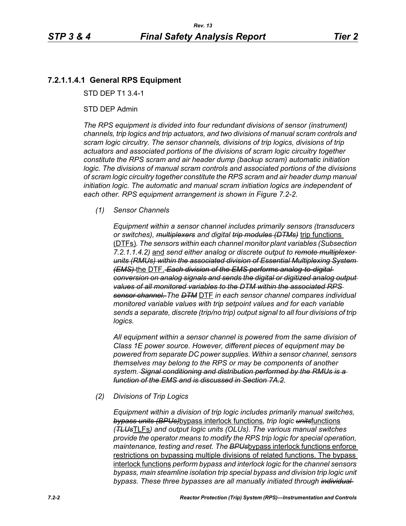# **7.2.1.1.4.1 General RPS Equipment**

STD DEP T1 3.4-1

## STD DEP Admin

*The RPS equipment is divided into four redundant divisions of sensor (instrument) channels, trip logics and trip actuators, and two divisions of manual scram controls and scram logic circuitry. The sensor channels, divisions of trip logics, divisions of trip actuators and associated portions of the divisions of scram logic circuitry together constitute the RPS scram and air header dump (backup scram) automatic initiation logic. The divisions of manual scram controls and associated portions of the divisions of scram logic circuitry together constitute the RPS scram and air header dump manual initiation logic. The automatic and manual scram initiation logics are independent of each other. RPS equipment arrangement is shown in Figure 7.2-2.*

### *(1) Sensor Channels*

*Equipment within a sensor channel includes primarily sensors (transducers or switches), multiplexers and digital trip modules (DTMs)* trip functions (DTFs)*. The sensors within each channel monitor plant variables (Subsection 7.2.1.1.4.2)* and *send either analog or discrete output to remote multiplexer units (RMUs) within the associated division of Essential Multiplexing System (EMS)* the DTF. *Each division of the EMS performs analog-to-digital conversion on analog signals and sends the digital or digitized analog output values of all monitored variables to the DTM within the associated RPS sensor channel. The DTM* DTF *in each sensor channel compares individual monitored variable values with trip setpoint values and for each variable sends a separate, discrete (trip/no trip) output signal to all four divisions of trip logics.*

*All equipment within a sensor channel is powered from the same division of Class 1E power source. However, different pieces of equipment may be powered from separate DC power supplies. Within a sensor channel, sensors themselves may belong to the RPS or may be components of another system. Signal conditioning and distribution performed by the RMUs is a function of the EMS and is discussed in Section 7A.2.*

### *(2) Divisions of Trip Logics*

*Equipment within a division of trip logic includes primarily manual switches, bypass units (BPUs)*bypass interlock functions*, trip logic units*functions *(TLUs*TLFs*) and output logic units (OLUs). The various manual switches provide the operator means to modify the RPS trip logic for special operation, maintenance, testing and reset. The BPUs*bypass interlock functions enforce restrictions on bypassing multiple divisions of related functions. The bypass interlock functions *perform bypass and interlock logic for the channel sensors bypass, main steamline isolation trip special bypass and division trip logic unit bypass. These three bypasses are all manually initiated through individual*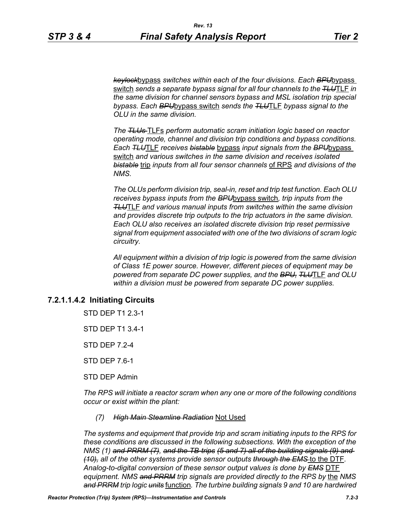*keylock*bypass *switches within each of the four divisions. Each BPU*bypass switch *sends a separate bypass signal for all four channels to the TLU*TLF *in the same division for channel sensors bypass and MSL isolation trip special bypass. Each BPU*bypass switch *sends the TLU*TLF *bypass signal to the OLU in the same division.*

*The TLUs* TLFs *perform automatic scram initiation logic based on reactor operating mode, channel and division trip conditions and bypass conditions. Each TLU*TLF *receives bistable* bypass *input signals from the BPU*bypass switch *and various switches in the same division and receives isolated bistable* trip *inputs from all four sensor channels* of RPS *and divisions of the NMS.*

*The OLUs perform division trip, seal-in, reset and trip test function. Each OLU receives bypass inputs from the BPU*bypass switch*, trip inputs from the TLU*TLF *and various manual inputs from switches within the same division and provides discrete trip outputs to the trip actuators in the same division. Each OLU also receives an isolated discrete division trip reset permissive signal from equipment associated with one of the two divisions of scram logic circuitry.*

*All equipment within a division of trip logic is powered from the same division of Class 1E power source. However, different pieces of equipment may be powered from separate DC power supplies, and the BPU, TLU*TLF *and OLU within a division must be powered from separate DC power supplies.*

# **7.2.1.1.4.2 Initiating Circuits**

STD DEP T1 2.3-1

STD DEP T1 3.4-1

STD DEP 7.2-4

STD DEP 7.6-1

STD DEP Admin

*The RPS will initiate a reactor scram when any one or more of the following conditions occur or exist within the plant:*

#### *(7) High Main Steamline Radiation* Not Used

*The systems and equipment that provide trip and scram initiating inputs to the RPS for these conditions are discussed in the following subsections. With the exception of the NMS (1) and PRRM (7), and the TB-trips (5 and 7) all of the building signals (9) and (10), all of the other systems provide sensor outputs through the EMS* to the DTF*. Analog-to-digital conversion of these sensor output values is done by EMS* DTF equipment. NMS and PRRM trip signals are provided directly to the RPS by the NMS *and PRRM trip logic units* function*. The turbine building signals 9 and 10 are hardwired*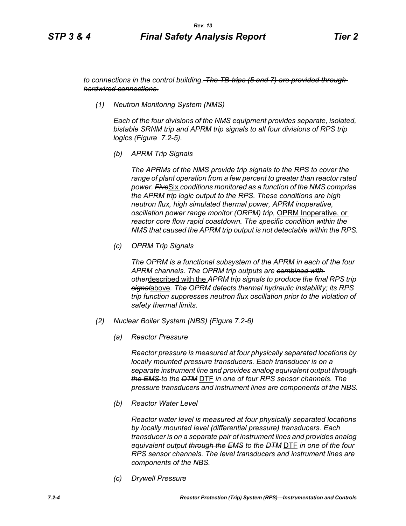*to connections in the control building. The TB-trips (5 and 7) are provided through hardwired connections.*

*(1) Neutron Monitoring System (NMS)*

*Each of the four divisions of the NMS equipment provides separate, isolated, bistable SRNM trip and APRM trip signals to all four divisions of RPS trip logics (Figure 7.2-5).*

*(b) APRM Trip Signals*

*The APRMs of the NMS provide trip signals to the RPS to cover the range of plant operation from a few percent to greater than reactor rated power. Five*Six *conditions monitored as a function of the NMS comprise the APRM trip logic output to the RPS. These conditions are high neutron flux, high simulated thermal power, APRM inoperative, oscillation power range monitor (ORPM) trip,* OPRM Inoperative, or *reactor core flow rapid coastdown. The specific condition within the NMS that caused the APRM trip output is not detectable within the RPS.*

*(c) OPRM Trip Signals*

*The OPRM is a functional subsystem of the APRM in each of the four APRM channels. The OPRM trip outputs are combined with other*described with the *APRM trip signals to produce the final RPS trip signal*above*. The OPRM detects thermal hydraulic instability; its RPS trip function suppresses neutron flux oscillation prior to the violation of safety thermal limits.*

- *(2) Nuclear Boiler System (NBS) (Figure 7.2-6)*
	- *(a) Reactor Pressure*

*Reactor pressure is measured at four physically separated locations by locally mounted pressure transducers. Each transducer is on a separate instrument line and provides analog equivalent output through the EMS to the DTM* DTF *in one of four RPS sensor channels. The pressure transducers and instrument lines are components of the NBS.*

*(b) Reactor Water Level*

*Reactor water level is measured at four physically separated locations by locally mounted level (differential pressure) transducers. Each transducer is on a separate pair of instrument lines and provides analog equivalent output through the EMS to the DTM* DTF *in one of the four RPS sensor channels. The level transducers and instrument lines are components of the NBS.*

*(c) Drywell Pressure*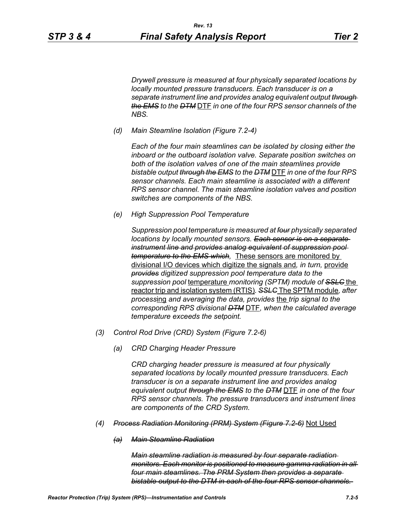*Drywell pressure is measured at four physically separated locations by locally mounted pressure transducers. Each transducer is on a separate instrument line and provides analog equivalent output through the EMS to the DTM* DTF *in one of the four RPS sensor channels of the NBS.*

*(d) Main Steamline Isolation (Figure 7.2-4)*

*Each of the four main steamlines can be isolated by closing either the inboard or the outboard isolation valve. Separate position switches on both of the isolation valves of one of the main steamlines provide bistable output through the EMS to the DTM* DTF *in one of the four RPS sensor channels. Each main steamline is associated with a different RPS sensor channel. The main steamline isolation valves and position switches are components of the NBS.*

*(e) High Suppression Pool Temperature*

*Suppression pool temperature is measured at four physically separated locations by locally mounted sensors. Each sensor is on a separate instrument line and provides analog equivalent of suppression pool temperature to the EMS which,* These sensors are monitored by divisional I/O devices which digitize the signals and*, in turn,* provide *provides digitized suppression pool temperature data to the suppression pool* temperature *monitoring (SPTM) module of SSLC* the reactor trip and isolation system (RTIS)*. SSLC* The SPTM module*, after process*ing *and averaging the data, provides* the *trip signal to the corresponding RPS divisional DTM* DTF*, when the calculated average temperature exceeds the setpoint.*

- *(3) Control Rod Drive (CRD) System (Figure 7.2-6)*
	- *(a) CRD Charging Header Pressure*

*CRD charging header pressure is measured at four physically separated locations by locally mounted pressure transducers. Each transducer is on a separate instrument line and provides analog equivalent output through the EMS to the DTM* DTF *in one of the four RPS sensor channels. The pressure transducers and instrument lines are components of the CRD System.*

- *(4) Process Radiation Monitoring (PRM) System (Figure 7.2-6)* Not Used
	- *(a) Main Steamline Radiation*

*Main steamline radiation is measured by four separate radiation monitors. Each monitor is positioned to measure gamma radiation in all four main steamlines. The PRM System then provides a separate bistable output to the DTM in each of the four RPS sensor channels.*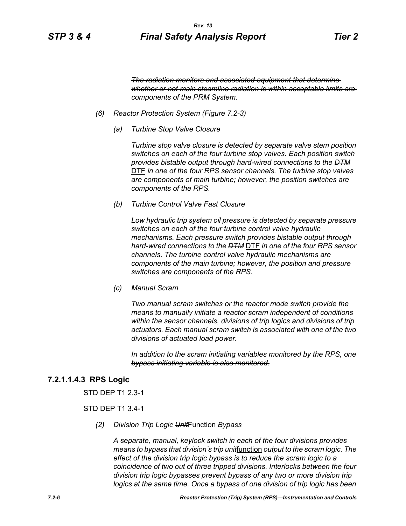*The radiation monitors and associated equipment that determine whether or not main steamline radiation is within acceptable limits are components of the PRM System.*

- *(6) Reactor Protection System (Figure 7.2-3)*
	- *(a) Turbine Stop Valve Closure*

*Turbine stop valve closure is detected by separate valve stem position switches on each of the four turbine stop valves. Each position switch provides bistable output through hard-wired connections to the DTM* DTF *in one of the four RPS sensor channels. The turbine stop valves are components of main turbine; however, the position switches are components of the RPS.*

*(b) Turbine Control Valve Fast Closure*

*Low hydraulic trip system oil pressure is detected by separate pressure switches on each of the four turbine control valve hydraulic mechanisms. Each pressure switch provides bistable output through hard-wired connections to the DTM* DTF *in one of the four RPS sensor channels. The turbine control valve hydraulic mechanisms are components of the main turbine; however, the position and pressure switches are components of the RPS.*

*(c) Manual Scram*

*Two manual scram switches or the reactor mode switch provide the means to manually initiate a reactor scram independent of conditions within the sensor channels, divisions of trip logics and divisions of trip actuators. Each manual scram switch is associated with one of the two divisions of actuated load power.* 

*In addition to the scram initiating variables monitored by the RPS, one bypass initiating variable is also monitored.*

# **7.2.1.1.4.3 RPS Logic**

STD DEP T1 2.3-1

### STD DEP T1 3.4-1

*(2) Division Trip Logic Unit*Function *Bypass*

*A separate, manual, keylock switch in each of the four divisions provides means to bypass that division's trip unit*function *output to the scram logic. The effect of the division trip logic bypass is to reduce the scram logic to a coincidence of two out of three tripped divisions. Interlocks between the four division trip logic bypasses prevent bypass of any two or more division trip logics at the same time. Once a bypass of one division of trip logic has been*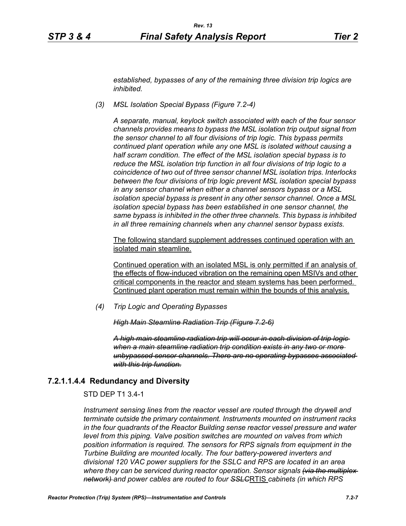*established, bypasses of any of the remaining three division trip logics are inhibited.*

*(3) MSL Isolation Special Bypass (Figure 7.2-4)*

*A separate, manual, keylock switch associated with each of the four sensor channels provides means to bypass the MSL isolation trip output signal from the sensor channel to all four divisions of trip logic. This bypass permits continued plant operation while any one MSL is isolated without causing a half scram condition. The effect of the MSL isolation special bypass is to reduce the MSL isolation trip function in all four divisions of trip logic to a coincidence of two out of three sensor channel MSL isolation trips. Interlocks between the four divisions of trip logic prevent MSL isolation special bypass in any sensor channel when either a channel sensors bypass or a MSL isolation special bypass is present in any other sensor channel. Once a MSL isolation special bypass has been established in one sensor channel, the same bypass is inhibited in the other three channels. This bypass is inhibited in all three remaining channels when any channel sensor bypass exists.*

The following standard supplement addresses continued operation with an isolated main steamline.

Continued operation with an isolated MSL is only permitted if an analysis of the effects of flow-induced vibration on the remaining open MSIVs and other critical components in the reactor and steam systems has been performed. Continued plant operation must remain within the bounds of this analysis.

*(4) Trip Logic and Operating Bypasses*

*High Main Steamline Radiation Trip (Figure 7.2-6)*

*A high main steamline radiation trip will occur in each division of trip logic when a main steamline radiation trip condition exists in any two or more unbypassed sensor channels. There are no operating bypasses associated with this trip function.*

### **7.2.1.1.4.4 Redundancy and Diversity**

STD DEP T1 3.4-1

*Instrument sensing lines from the reactor vessel are routed through the drywell and terminate outside the primary containment. Instruments mounted on instrument racks in the four quadrants of the Reactor Building sense reactor vessel pressure and water level from this piping. Valve position switches are mounted on valves from which position information is required. The sensors for RPS signals from equipment in the Turbine Building are mounted locally. The four battery-powered inverters and divisional 120 VAC power suppliers for the SSLC and RPS are located in an area where they can be serviced during reactor operation. Sensor signals (via the multiplex network) and power cables are routed to four SSLC*RTIS *cabinets (in which RPS*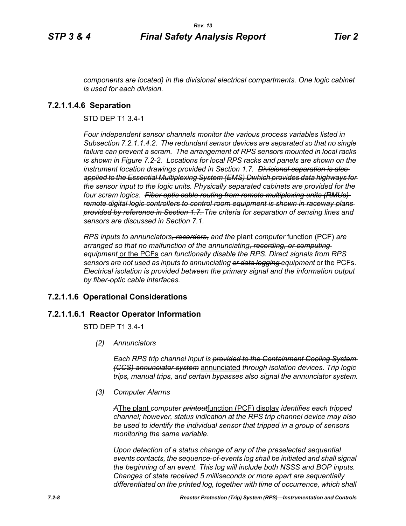*components are located) in the divisional electrical compartments. One logic cabinet is used for each division.*

# **7.2.1.1.4.6 Separation**

STD DEP T1 3.4-1

*Four independent sensor channels monitor the various process variables listed in Subsection 7.2.1.1.4.2. The redundant sensor devices are separated so that no single failure can prevent a scram. The arrangement of RPS sensors mounted in local racks is shown in Figure 7.2-2. Locations for local RPS racks and panels are shown on the instrument location drawings provided in Section 1.7. Divisional separation is also applied to the Essential Multiplexing System (EMS) Dwhich provides data highways for the sensor input to the logic units. Physically separated cabinets are provided for the four scram logics. Fiber optic cable routing from remote multiplexing units (RMUs) remote digital logic controllers to control room equipment is shown in raceway plans provided by reference in Section 1.7. The criteria for separation of sensing lines and sensors are discussed in Section 7.1.*

*RPS inputs to annunciators, recorders, and the* plant *computer* function (PCF) *are arranged so that no malfunction of the annunciating, recording, or computing equipment* or the PCFs *can functionally disable the RPS. Direct signals from RPS sensors are not used as inputs to annunciating or data logging equipment* or the PCFs*. Electrical isolation is provided between the primary signal and the information output by fiber-optic cable interfaces.*

# **7.2.1.1.6 Operational Considerations**

# **7.2.1.1.6.1 Reactor Operator Information**

STD DEP T1 3.4-1

*(2) Annunciators*

*Each RPS trip channel input is provided to the Containment Cooling System (CCS) annunciator system* annunciated *through isolation devices. Trip logic trips, manual trips, and certain bypasses also signal the annunciator system.*

*(3) Computer Alarms*

*A*The plant *computer printout*function (PCF) display *identifies each tripped channel; however, status indication at the RPS trip channel device may also be used to identify the individual sensor that tripped in a group of sensors monitoring the same variable.* 

*Upon detection of a status change of any of the preselected sequential events contacts, the sequence-of-events log shall be initiated and shall signal the beginning of an event. This log will include both NSSS and BOP inputs. Changes of state received 5 milliseconds or more apart are sequentially differentiated on the printed log, together with time of occurrence, which shall*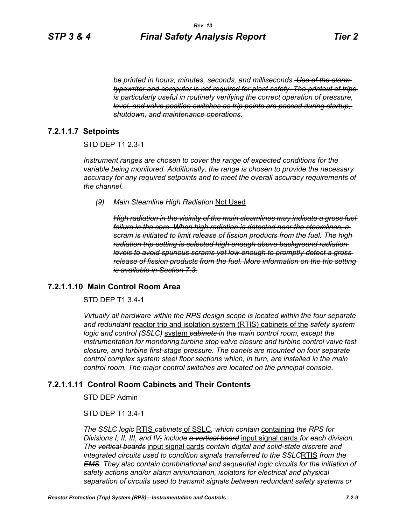*be printed in hours, minutes, seconds, and milliseconds. Use of the alarm typewriter and computer is not required for plant safety. The printout of trips is particularly useful in routinely verifying the correct operation of pressure, level, and valve position switches as trip points are passed during startup, shutdown, and maintenance operations.*

# **7.2.1.1.7 Setpoints**

## STD DEP T1 2.3-1

*Instrument ranges are chosen to cover the range of expected conditions for the variable being monitored. Additionally, the range is chosen to provide the necessary accuracy for any required setpoints and to meet the overall accuracy requirements of the channel.*

#### *(9) Main Steamline High Radiation* Not Used

*High radiation in the vicinity of the main steamlines may indicate a gross fuel failure in the core. When high radiation is detected near the steamlines, a scram is initiated to limit release of fission products from the fuel. The high radiation trip setting is selected high enough above background radiation levels to avoid spurious scrams yet low enough to promptly detect a gross release of fission products from the fuel. More information on the trip setting is available in Section 7.3.*

# **7.2.1.1.10 Main Control Room Area**

# STD DEP T1 3.4-1

*Virtually all hardware within the RPS design scope is located within the four separate and redundant* reactor trip and isolation system (RTIS) cabinets of the *safety system logic and control (SSLC)* system *cabinets in the main control room, except the instrumentation for monitoring turbine stop valve closure and turbine control valve fast closure, and turbine first-stage pressure. The panels are mounted on four separate control complex system steel floor sections which, in turn, are installed in the main control room. The major control switches are located on the principal console.*

# **7.2.1.1.11 Control Room Cabinets and Their Contents**

STD DEP Admin

## STD DEP T1 3.4-1

*The SSLC logic* RTIS *cabinets* of SSLC*, which contain* containing *the RPS for Divisions I, II, III, and IV, include a vertical board* input signal cards *for each division. The vertical boards* input signal cards *contain digital and solid-state discrete and integrated circuits used to condition signals transferred to the SSLC*RTIS *from the EMS. They also contain combinational and sequential logic circuits for the initiation of safety actions and/or alarm annunciation, isolators for electrical and physical separation of circuits used to transmit signals between redundant safety systems or*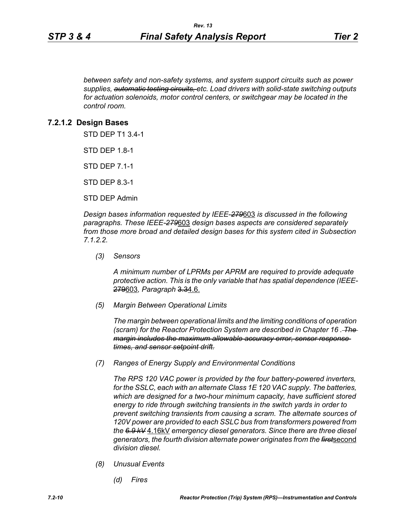*between safety and non-safety systems, and system support circuits such as power supplies, automatic testing circuits, etc. Load drivers with solid-state switching outputs for actuation solenoids, motor control centers, or switchgear may be located in the control room.*

## **7.2.1.2 Design Bases**

STD DEP T1 3.4-1

STD DEP 1.8-1

STD DEP 7.1-1

STD DEP 8.3-1

STD DEP Admin

*Design bases information requested by IEEE-279*603 *is discussed in the following paragraphs. These IEEE-279*603 *design bases aspects are considered separately from those more broad and detailed design bases for this system cited in Subsection 7.1.2.2.*

*(3) Sensors*

*A minimum number of LPRMs per APRM are required to provide adequate protective action. This is the only variable that has spatial dependence (IEEE-*279603*, Paragraph* 3.34.6.

*(5) Margin Between Operational Limits*

*The margin between operational limits and the limiting conditions of operation (scram) for the Reactor Protection System are described in Chapter 16 . The margin includes the maximum allowable accuracy error, sensor response times, and sensor setpoint drift.*

*(7) Ranges of Energy Supply and Environmental Conditions*

*The RPS 120 VAC power is provided by the four battery-powered inverters, for the SSLC, each with an alternate Class 1E 120 VAC supply. The batteries, which are designed for a two-hour minimum capacity, have sufficient stored energy to ride through switching transients in the switch yards in order to prevent switching transients from causing a scram. The alternate sources of 120V power are provided to each SSLC bus from transformers powered from the 6.9 kV* 4.16kV *emergency diesel generators. Since there are three diesel generators, the fourth division alternate power originates from the first*second *division diesel.*

- *(8) Unusual Events*
	- *(d) Fires*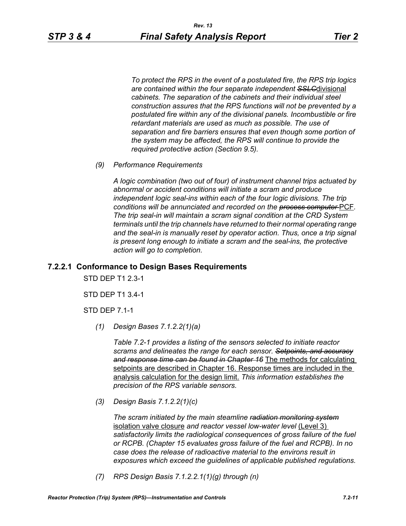*To protect the RPS in the event of a postulated fire, the RPS trip logics are contained within the four separate independent SSLC*divisional *cabinets. The separation of the cabinets and their individual steel construction assures that the RPS functions will not be prevented by a postulated fire within any of the divisional panels. Incombustible or fire retardant materials are used as much as possible. The use of separation and fire barriers ensures that even though some portion of the system may be affected, the RPS will continue to provide the required protective action (Section 9.5).*

*(9) Performance Requirements*

*A logic combination (two out of four) of instrument channel trips actuated by abnormal or accident conditions will initiate a scram and produce independent logic seal-ins within each of the four logic divisions. The trip conditions will be annunciated and recorded on the process computer* PCF*. The trip seal-in will maintain a scram signal condition at the CRD System terminals until the trip channels have returned to their normal operating range*  and the seal-in is manually reset by operator action. Thus, once a trip signal *is present long enough to initiate a scram and the seal-ins, the protective action will go to completion.*

### **7.2.2.1 Conformance to Design Bases Requirements**

STD DEP T1 2.3-1

STD DEP T1 3.4-1

STD DEP 7.1-1

*(1) Design Bases 7.1.2.2(1)(a)*

*Table 7.2-1 provides a listing of the sensors selected to initiate reactor scrams and delineates the range for each sensor. Setpoints, and accuracy and response time can be found in Chapter 16* The methods for calculating setpoints are described in Chapter 16. Response times are included in the analysis calculation for the design limit. *This information establishes the precision of the RPS variable sensors.*

*(3) Design Basis 7.1.2.2(1)(c)*

*The scram initiated by the main steamline radiation monitoring system* isolation valve closure *and reactor vessel low-water level* (Level 3) *satisfactorily limits the radiological consequences of gross failure of the fuel or RCPB. (Chapter 15 evaluates gross failure of the fuel and RCPB). In no case does the release of radioactive material to the environs result in exposures which exceed the guidelines of applicable published regulations.*

*(7) RPS Design Basis 7.1.2.2.1(1)(g) through (n)*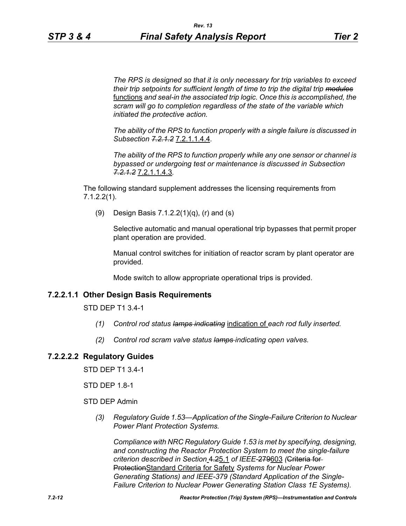*The RPS is designed so that it is only necessary for trip variables to exceed their trip setpoints for sufficient length of time to trip the digital trip modules* functions *and seal-in the associated trip logic. Once this is accomplished, the scram will go to completion regardless of the state of the variable which initiated the protective action.*

*The ability of the RPS to function properly with a single failure is discussed in Subsection 7.2.1.2* 7.2.1.1.4.4*.*

*The ability of the RPS to function properly while any one sensor or channel is bypassed or undergoing test or maintenance is discussed in Subsection 7.2.1.2* 7.2.1.1.4.3*.*

The following standard supplement addresses the licensing requirements from 7.1.2.2(1).

(9) Design Basis 7.1.2.2(1)(q), (r) and (s)

Selective automatic and manual operational trip bypasses that permit proper plant operation are provided.

Manual control switches for initiation of reactor scram by plant operator are provided.

Mode switch to allow appropriate operational trips is provided.

# **7.2.2.1.1 Other Design Basis Requirements**

STD DEP T1 3.4-1

- *(1) Control rod status lamps indicating* indication of *each rod fully inserted.*
- *(2) Control rod scram valve status lamps indicating open valves.*

# **7.2.2.2.2 Regulatory Guides**

STD DEP T1 3.4-1

STD DEP 1.8-1

STD DEP Admin

*(3) Regulatory Guide 1.53—Application of the Single-Failure Criterion to Nuclear Power Plant Protection Systems.*

*Compliance with NRC Regulatory Guide 1.53 is met by specifying, designing, and constructing the Reactor Protection System to meet the single-failure criterion described in Section* 4.25.1 *of IEEE-*279603 *(*Criteria for ProtectionStandard Criteria for Safety *Systems for Nuclear Power Generating Stations) and IEEE-379 (Standard Application of the Single-Failure Criterion to Nuclear Power Generating Station Class 1E Systems).*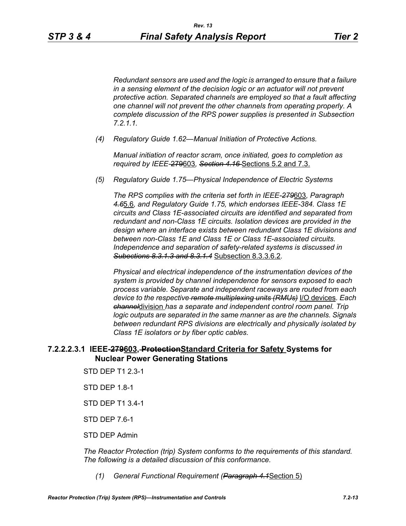*Redundant sensors are used and the logic is arranged to ensure that a failure in a sensing element of the decision logic or an actuator will not prevent protective action. Separated channels are employed so that a fault affecting one channel will not prevent the other channels from operating properly. A complete discussion of the RPS power supplies is presented in Subsection 7.2.1.1.*

*(4) Regulatory Guide 1.62—Manual Initiation of Protective Actions.*

*Manual initiation of reactor scram, once initiated, goes to completion as required by IEEE-*279603*, Section 4.16* Sections 5.2 and 7.3.

*(5) Regulatory Guide 1.75—Physical Independence of Electric Systems*

*The RPS complies with the criteria set forth in IEEE-279*603*, Paragraph 4.6*5.6*, and Regulatory Guide 1.75, which endorses IEEE-384. Class 1E circuits and Class 1E-associated circuits are identified and separated from redundant and non-Class 1E circuits. Isolation devices are provided in the design where an interface exists between redundant Class 1E divisions and between non-Class 1E and Class 1E or Class 1E-associated circuits. Independence and separation of safety-related systems is discussed in Subections 8.3.1.3 and 8.3.1.4* Subsection 8.3.3.6.2*.*

*Physical and electrical independence of the instrumentation devices of the system is provided by channel independence for sensors exposed to each process variable. Separate and independent raceways are routed from each device to the respective remote multiplexing units (RMUs)* I/O devices*. Each channel*division *has a separate and independent control room panel. Trip logic outputs are separated in the same manner as are the channels. Signals between redundant RPS divisions are electrically and physically isolated by Class 1E isolators or by fiber optic cables.*

# **7.2.2.2.3.1 IEEE-279603, ProtectionStandard Criteria for Safety Systems for Nuclear Power Generating Stations**

- STD DEP T1 2.3-1
- STD DEP 1.8-1
- STD DEP T1 3.4-1
- STD DEP 7.6-1
- STD DEP Admin

*The Reactor Protection (trip) System conforms to the requirements of this standard. The following is a detailed discussion of this conformance.*

*(1) General Functional Requirement (Paragraph 4.1*Section 5)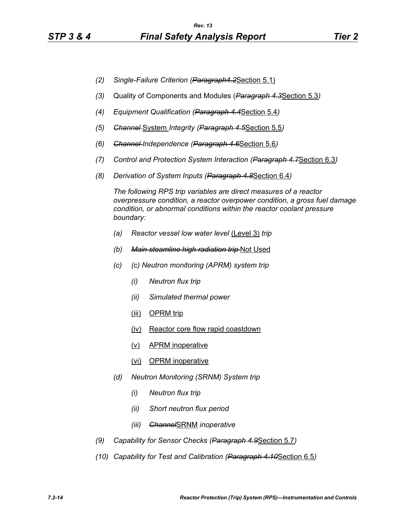- *(2) Single-Failure Criterion (Paragraph4.2*Section 5.1)
- *(3)* Quality of Components and Modules (*Paragraph 4.3*Section 5.3*)*
- *(4) Equipment Qualification (Paragraph 4.4*Section 5.4*)*
- *(5) Channel* System *Integrity (Paragraph 4.5*Section 5.5*)*
- *(6) Channel Independence (Paragraph 4.6*Section 5.6*)*
- *(7) Control and Protection System Interaction (Paragraph 4.7*Section 6.3*)*
- *(8) Derivation of System Inputs (Paragraph 4.8*Section 6.4*)*

*The following RPS trip variables are direct measures of a reactor overpressure condition, a reactor overpower condition, a gross fuel damage condition, or abnormal conditions within the reactor coolant pressure boundary:*

- *(a) Reactor vessel low water level* (Level 3) *trip*
- *(b) Main steamline high radiation trip* Not Used
- *(c) (c) Neutron monitoring (APRM) system trip*
	- *(i) Neutron flux trip*
	- *(ii) Simulated thermal power*
	- (iii) OPRM trip
	- (iv) Reactor core flow rapid coastdown
	- (v) APRM inoperative
	- (vi) OPRM inoperative
- *(d) Neutron Monitoring (SRNM) System trip*
	- *(i) Neutron flux trip*
	- *(ii) Short neutron flux period*
	- *(iii) Channel*SRNM *inoperative*
- *(9) Capability for Sensor Checks (Paragraph 4.9*Section 5.7*)*
- *(10) Capability for Test and Calibration (Paragraph 4.10*Section 6.5*)*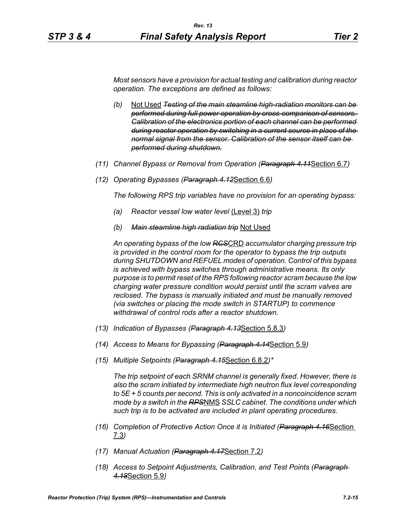*Most sensors have a provision for actual testing and calibration during reactor operation. The exceptions are defined as follows:*

- *(b)* Not Used *Testing of the main steamline high-radiation monitors can be performed during full power operation by cross-comparison of sensors. Calibration of the electronics portion of each channel can be performed during reactor operation by switching in a current source in place of the normal signal from the sensor. Calibration of the sensor itself can be performed during shutdown.*
- *(11) Channel Bypass or Removal from Operation (Paragraph 4.11*Section 6.7*)*
- *(12) Operating Bypasses (Paragraph 4.12*Section 6.6*)*

*The following RPS trip variables have no provision for an operating bypass:*

- *(a) Reactor vessel low water level* (Level 3) *trip*
- *(b) Main steamline high radiation trip* Not Used

*An operating bypass of the low RCS*CRD *accumulator charging pressure trip is provided in the control room for the operator to bypass the trip outputs during SHUTDOWN and REFUEL modes of operation. Control of this bypass is achieved with bypass switches through administrative means. Its only purpose is to permit reset of the RPS following reactor scram because the low charging water pressure condition would persist until the scram valves are reclosed. The bypass is manually initiated and must be manually removed (via switches or placing the mode switch in STARTUP) to commence withdrawal of control rods after a reactor shutdown.*

- *(13) Indication of Bypasses (Paragraph 4.13*Section 5.8.3*)*
- *(14) Access to Means for Bypassing (Paragraph 4.14*Section 5.9*)*
- *(15) Multiple Setpoints (Paragraph 4.15*Section 6.8.2*)\**

*The trip setpoint of each SRNM channel is generally fixed. However, there is also the scram initiated by intermediate high neutron flux level corresponding to 5E + 5 counts per second. This is only activated in a noncoincidence scram mode by a switch in the RPS*NMS *SSLC cabinet. The conditions under which such trip is to be activated are included in plant operating procedures.*

- *(16) Completion of Protective Action Once it is Initiated (Paragraph 4.16*Section 7.3*)*
- *(17) Manual Actuation (Paragraph 4.17*Section 7.2*)*
- *(18) Access to Setpoint Adjustments, Calibration, and Test Points (Paragraph 4.18*Section 5.9*)*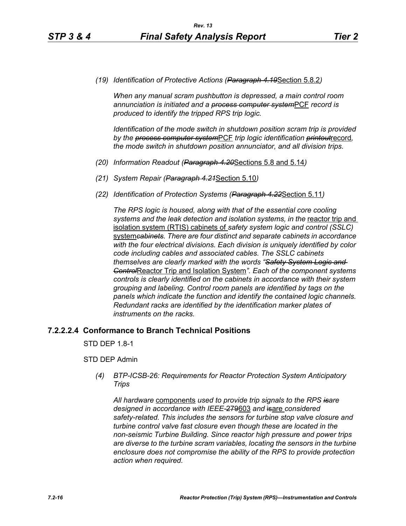*(19) Identification of Protective Actions (Paragraph 4.19*Section 5.8.2*)*

*When any manual scram pushbutton is depressed, a main control room annunciation is initiated and a process computer system*PCF *record is produced to identify the tripped RPS trip logic.*

*Identification of the mode switch in shutdown position scram trip is provided by the process computer system*PCF *trip logic identification printout*record*, the mode switch in shutdown position annunciator, and all division trips.*

- *(20) Information Readout (Paragraph 4.20*Sections 5.8 and 5.14*)*
- *(21) System Repair (Paragraph 4.21*Section 5.10*)*
- *(22) Identification of Protection Systems (Paragraph 4.22*Section 5.11*)*

*The RPS logic is housed, along with that of the essential core cooling*  systems and the leak detection and *isolation systems, in the reactor trip* and isolation system (RTIS) cabinets of *safety system logic and control (SSLC)*  system*cabinets. There are four distinct and separate cabinets in accordance with the four electrical divisions. Each division is uniquely identified by color code including cables and associated cables. The SSLC cabinets themselves are clearly marked with the words "Safety System Logic and Control*Reactor Trip and Isolation System*". Each of the component systems controls is clearly identified on the cabinets in accordance with their system grouping and labeling. Control room panels are identified by tags on the panels which indicate the function and identify the contained logic channels. Redundant racks are identified by the identification marker plates of instruments on the racks.*

# **7.2.2.2.4 Conformance to Branch Technical Positions**

STD DEP 1.8-1

### STD DEP Admin

*(4) BTP-ICSB-26: Requirements for Reactor Protection System Anticipatory Trips*

*All hardware* components *used to provide trip signals to the RPS isare designed in accordance with IEEE-*279603 *and* isare *considered safety-related. This includes the sensors for turbine stop valve closure and turbine control valve fast closure even though these are located in the non-seismic Turbine Building. Since reactor high pressure and power trips are diverse to the turbine scram variables, locating the sensors in the turbine enclosure does not compromise the ability of the RPS to provide protection action when required.*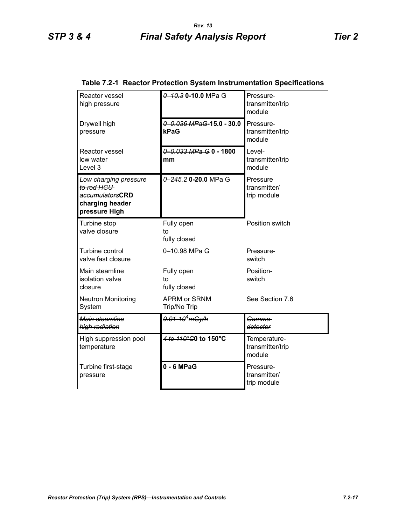| Reactor vessel<br>high pressure                                                            | 0 10 3 0 - 10 0 MPa G                | Pressure-<br>transmitter/trip<br>module    |
|--------------------------------------------------------------------------------------------|--------------------------------------|--------------------------------------------|
| Drywell high<br>pressure                                                                   | $0 - 0.036$ MPaG-15.0 - 30.0<br>kPaG | Pressure-<br>transmitter/trip<br>module    |
| <b>Reactor vessel</b><br>low water<br>Level <sub>3</sub>                                   | $0 - 0.033$ MPa G 0 - 1800<br>mm     | Level-<br>transmitter/trip<br>module       |
| Low charging pressure<br>to rod HCU<br>accumulatorsCRD<br>charging header<br>pressure High | 0 245.20-20.0 MPa G                  | Pressure<br>transmitter/<br>trip module    |
| Turbine stop<br>valve closure                                                              | Fully open<br>to<br>fully closed     | Position switch                            |
| Turbine control<br>valve fast closure                                                      | 0-10.98 MPa G                        | Pressure-<br>switch                        |
| Main steamline<br>isolation valve<br>closure                                               | Fully open<br>to<br>fully closed     | Position-<br>switch                        |
| <b>Neutron Monitoring</b><br>System                                                        | <b>APRM or SRNM</b><br>Trip/No Trip  | See Section 7.6                            |
| Main steamline<br>high radiation                                                           | <del>0.01-10<sup>4</sup>mGy/h</del>  | Gamma<br>detector                          |
| High suppression pool<br>temperature                                                       | 4 to 110°C0 to 150°C                 | Temperature-<br>transmitter/trip<br>module |
| Turbine first-stage<br>pressure                                                            | $0 - 6$ MPaG                         | Pressure-<br>transmitter/<br>trip module   |

### **Table 7.2-1 Reactor Protection System Instrumentation Specifications**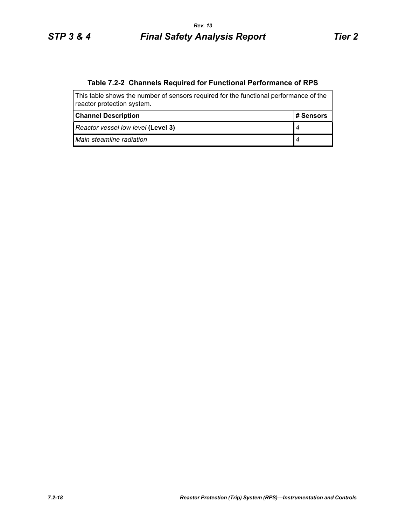# **Table 7.2-2 Channels Required for Functional Performance of RPS**

| This table shows the number of sensors required for the functional performance of the<br>reactor protection system. |            |  |  |
|---------------------------------------------------------------------------------------------------------------------|------------|--|--|
| <b>Channel Description</b>                                                                                          | l# Sensors |  |  |
| Reactor vessel low level (Level 3)                                                                                  |            |  |  |
| Main steamline radiation                                                                                            |            |  |  |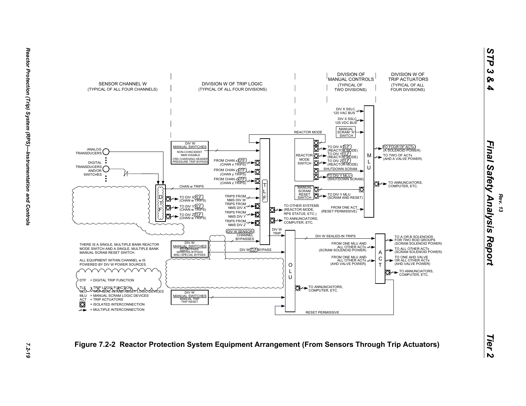



*Rev. 13*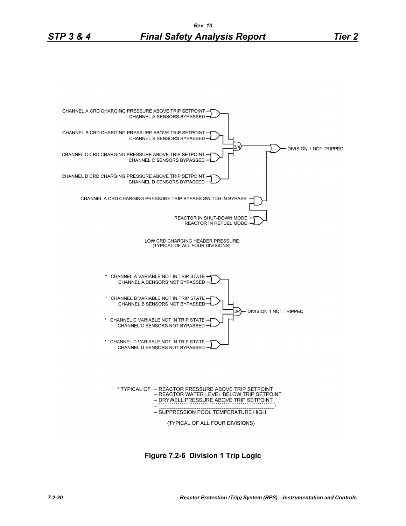

**Figure 7.2-6 Division 1 Trip Logic**